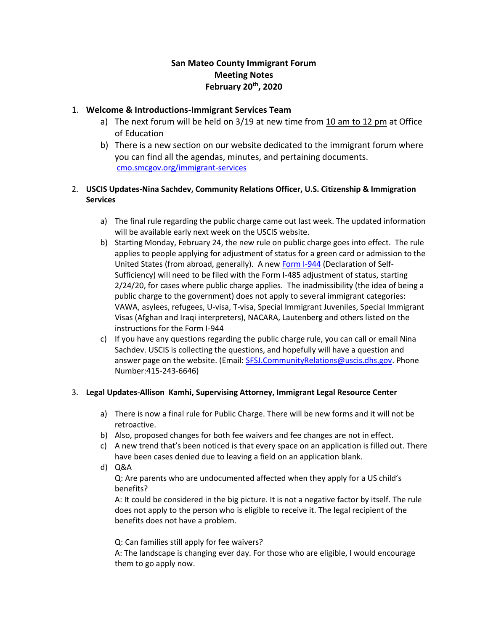# **San Mateo County Immigrant Forum Meeting Notes February 20th, 2020**

### 1. **Welcome & Introductions-Immigrant Services Team**

- a) The next forum will be held on 3/19 at new time from 10 am to 12 pm at Office of Education
- b) There is a new section on our website dedicated to the immigrant forum where you can find all the agendas, minutes, and pertaining documents. [cmo.smcgov.org/immigrant-services](https://cmo.smcgov.org/node/8496)

#### 2. **USCIS Updates-Nina Sachdev, Community Relations Officer, U.S. Citizenship & Immigration Services**

- a) The final rule regarding the public charge came out last week. The updated information will be available early next week on the USCIS website.
- b) Starting Monday, February 24, the new rule on public charge goes into effect. The rule applies to people applying for adjustment of status for a green card or admission to the United States (from abroad, generally). A new [Form I-944](https://protect-us.mimecast.com/s/alewC1wpG1cON1ZXhLohiN) (Declaration of Self-Sufficiency) will need to be filed with the Form I-485 adjustment of status, starting 2/24/20, for cases where public charge applies. The inadmissibility (the idea of being a public charge to the government) does not apply to several immigrant categories: VAWA, asylees, refugees, U-visa, T-visa, Special Immigrant Juveniles, Special Immigrant Visas (Afghan and Iraqi interpreters), NACARA, Lautenberg and others listed on the instructions for the Form I-944
- c) If you have any questions regarding the public charge rule, you can call or email Nina Sachdev. USCIS is collecting the questions, and hopefully will have a question and answer page on the website. (Email: [SFSJ.CommunityRelations@uscis.dhs.gov.](mailto:SFSJ.CommunityRelations@uscis.dhs.gov) Phone Number:415-243-6646)

#### 3. **Legal Updates-Allison Kamhi, Supervising Attorney, Immigrant Legal Resource Center**

- a) There is now a final rule for Public Charge. There will be new forms and it will not be retroactive.
- b) Also, proposed changes for both fee waivers and fee changes are not in effect.
- c) A new trend that's been noticed is that every space on an application is filled out. There have been cases denied due to leaving a field on an application blank.
- d) Q&A

Q: Are parents who are undocumented affected when they apply for a US child's benefits?

A: It could be considered in the big picture. It is not a negative factor by itself. The rule does not apply to the person who is eligible to receive it. The legal recipient of the benefits does not have a problem.

Q: Can families still apply for fee waivers?

A: The landscape is changing ever day. For those who are eligible, I would encourage them to go apply now.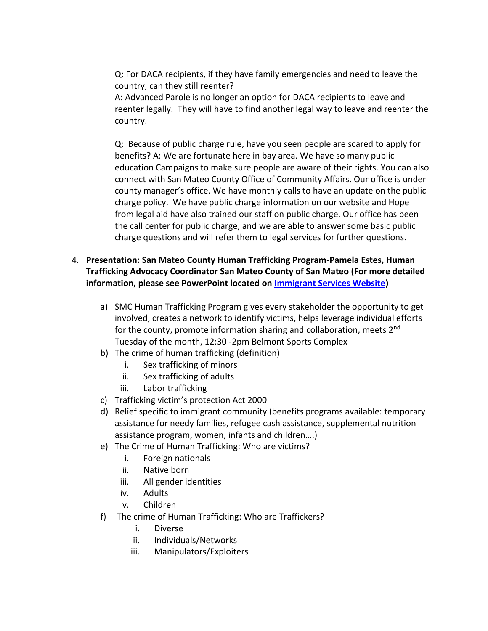Q: For DACA recipients, if they have family emergencies and need to leave the country, can they still reenter?

A: Advanced Parole is no longer an option for DACA recipients to leave and reenter legally. They will have to find another legal way to leave and reenter the country.

Q: Because of public charge rule, have you seen people are scared to apply for benefits? A: We are fortunate here in bay area. We have so many public education Campaigns to make sure people are aware of their rights. You can also connect with San Mateo County Office of Community Affairs. Our office is under county manager's office. We have monthly calls to have an update on the public charge policy. We have public charge information on our website and Hope from legal aid have also trained our staff on public charge. Our office has been the call center for public charge, and we are able to answer some basic public charge questions and will refer them to legal services for further questions.

# 4. **Presentation: San Mateo County Human Trafficking Program-Pamela Estes, Human Trafficking Advocacy Coordinator San Mateo County of San Mateo (For more detailed information, please see PowerPoint located on [Immigrant Services Website\)](https://cmo.smcgov.org/sites/cmo.smcgov.org/files/documents/files/Human%20Trafficking%20Program%20Presentation.pdf)**

- a) SMC Human Trafficking Program gives every stakeholder the opportunity to get involved, creates a network to identify victims, helps leverage individual efforts for the county, promote information sharing and collaboration, meets 2<sup>nd</sup> Tuesday of the month, 12:30 -2pm Belmont Sports Complex
- b) The crime of human trafficking (definition)
	- i. Sex trafficking of minors
	- ii. Sex trafficking of adults
	- iii. Labor trafficking
- c) Trafficking victim's protection Act 2000
- d) Relief specific to immigrant community (benefits programs available: temporary assistance for needy families, refugee cash assistance, supplemental nutrition assistance program, women, infants and children….)
- e) The Crime of Human Trafficking: Who are victims?
	- i. Foreign nationals
	- ii. Native born
	- iii. All gender identities
	- iv. Adults
	- v. Children
- f) The crime of Human Trafficking: Who are Traffickers?
	- i. Diverse
	- ii. Individuals/Networks
	- iii. Manipulators/Exploiters